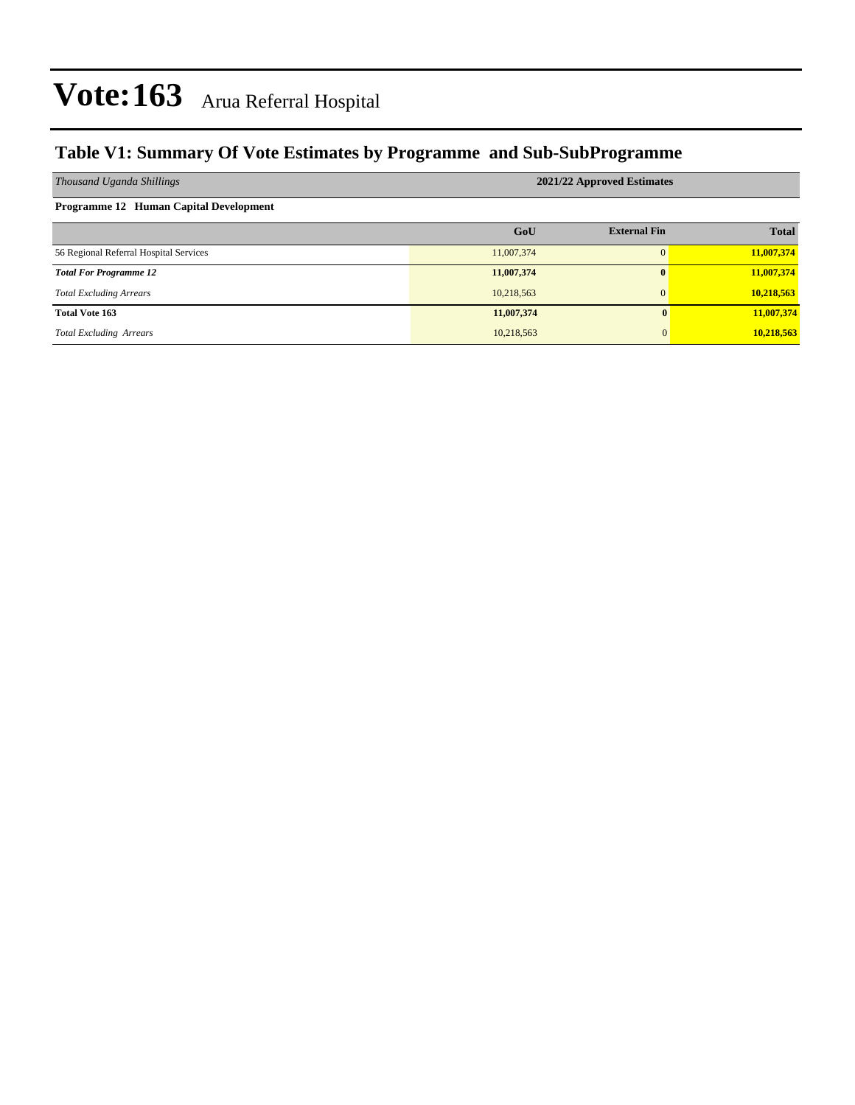### **Table V1: Summary Of Vote Estimates by Programme and Sub-SubProgramme**

| Thousand Uganda Shillings              | 2021/22 Approved Estimates |                     |              |  |  |  |  |  |  |
|----------------------------------------|----------------------------|---------------------|--------------|--|--|--|--|--|--|
| Programme 12 Human Capital Development |                            |                     |              |  |  |  |  |  |  |
|                                        | GoU                        | <b>External Fin</b> | <b>Total</b> |  |  |  |  |  |  |
| 56 Regional Referral Hospital Services | 11,007,374                 |                     | 11,007,374   |  |  |  |  |  |  |
| <b>Total For Programme 12</b>          | 11,007,374                 | 0                   | 11,007,374   |  |  |  |  |  |  |
| <b>Total Excluding Arrears</b>         | 10,218,563                 |                     | 10,218,563   |  |  |  |  |  |  |
| <b>Total Vote 163</b>                  | 11,007,374                 | 0                   | 11,007,374   |  |  |  |  |  |  |
| <b>Total Excluding Arrears</b>         | 10,218,563                 | $\overline{0}$      | 10,218,563   |  |  |  |  |  |  |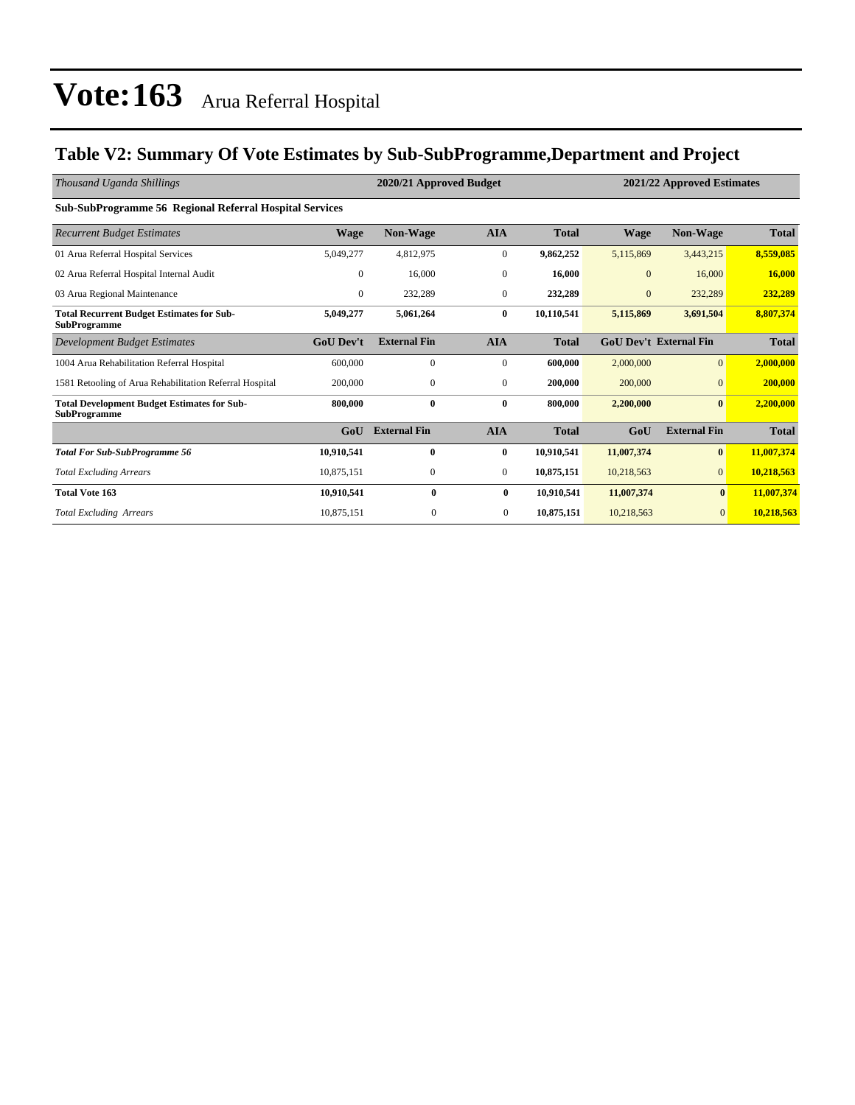### **Table V2: Summary Of Vote Estimates by Sub-SubProgramme,Department and Project**

| Thousand Uganda Shillings                                                 |                  | 2020/21 Approved Budget<br>2021/22 Approved Estimates |                |              |                |                               |              |
|---------------------------------------------------------------------------|------------------|-------------------------------------------------------|----------------|--------------|----------------|-------------------------------|--------------|
| <b>Sub-SubProgramme 56 Regional Referral Hospital Services</b>            |                  |                                                       |                |              |                |                               |              |
| <b>Recurrent Budget Estimates</b>                                         | <b>Wage</b>      | <b>Non-Wage</b>                                       | <b>AIA</b>     | <b>Total</b> | <b>Wage</b>    | Non-Wage                      | <b>Total</b> |
| 01 Arua Referral Hospital Services                                        | 5,049,277        | 4,812,975                                             | $\mathbf{0}$   | 9,862,252    | 5,115,869      | 3,443,215                     | 8,559,085    |
| 02 Arua Referral Hospital Internal Audit                                  | $\overline{0}$   | 16,000                                                | $\mathbf{0}$   | 16,000       | $\mathbf{0}$   | 16,000                        | 16,000       |
| 03 Arua Regional Maintenance                                              | $\overline{0}$   | 232,289                                               | $\mathbf{0}$   | 232,289      | $\overline{0}$ | 232,289                       | 232,289      |
| <b>Total Recurrent Budget Estimates for Sub-</b><br><b>SubProgramme</b>   | 5,049,277        | 5,061,264                                             | $\bf{0}$       | 10,110,541   | 5,115,869      | 3,691,504                     | 8,807,374    |
| Development Budget Estimates                                              | <b>GoU</b> Dev't | <b>External Fin</b>                                   | <b>AIA</b>     | <b>Total</b> |                | <b>GoU Dev't External Fin</b> | <b>Total</b> |
| 1004 Arua Rehabilitation Referral Hospital                                | 600,000          | $\mathbf{0}$                                          | $\mathbf{0}$   | 600,000      | 2,000,000      | $\overline{0}$                | 2,000,000    |
| 1581 Retooling of Arua Rehabilitation Referral Hospital                   | 200,000          | $\mathbf{0}$                                          | $\mathbf{0}$   | 200,000      | 200,000        | $\Omega$                      | 200,000      |
| <b>Total Development Budget Estimates for Sub-</b><br><b>SubProgramme</b> | 800,000          | $\bf{0}$                                              | $\bf{0}$       | 800,000      | 2,200,000      | $\bf{0}$                      | 2,200,000    |
|                                                                           | GoU              | <b>External Fin</b>                                   | <b>AIA</b>     | <b>Total</b> | GoU            | <b>External Fin</b>           | <b>Total</b> |
| <b>Total For Sub-SubProgramme 56</b>                                      | 10,910,541       | $\bf{0}$                                              | $\bf{0}$       | 10,910,541   | 11,007,374     | $\bf{0}$                      | 11,007,374   |
| <b>Total Excluding Arrears</b>                                            | 10,875,151       | $\mathbf{0}$                                          | $\mathbf{0}$   | 10,875,151   | 10,218,563     | $\overline{0}$                | 10,218,563   |
| <b>Total Vote 163</b>                                                     | 10,910,541       | $\bf{0}$                                              | $\bf{0}$       | 10,910,541   | 11,007,374     | $\mathbf{0}$                  | 11,007,374   |
| <b>Total Excluding Arrears</b>                                            | 10,875,151       | $\mathbf{0}$                                          | $\overline{0}$ | 10,875,151   | 10,218,563     | $\overline{0}$                | 10,218,563   |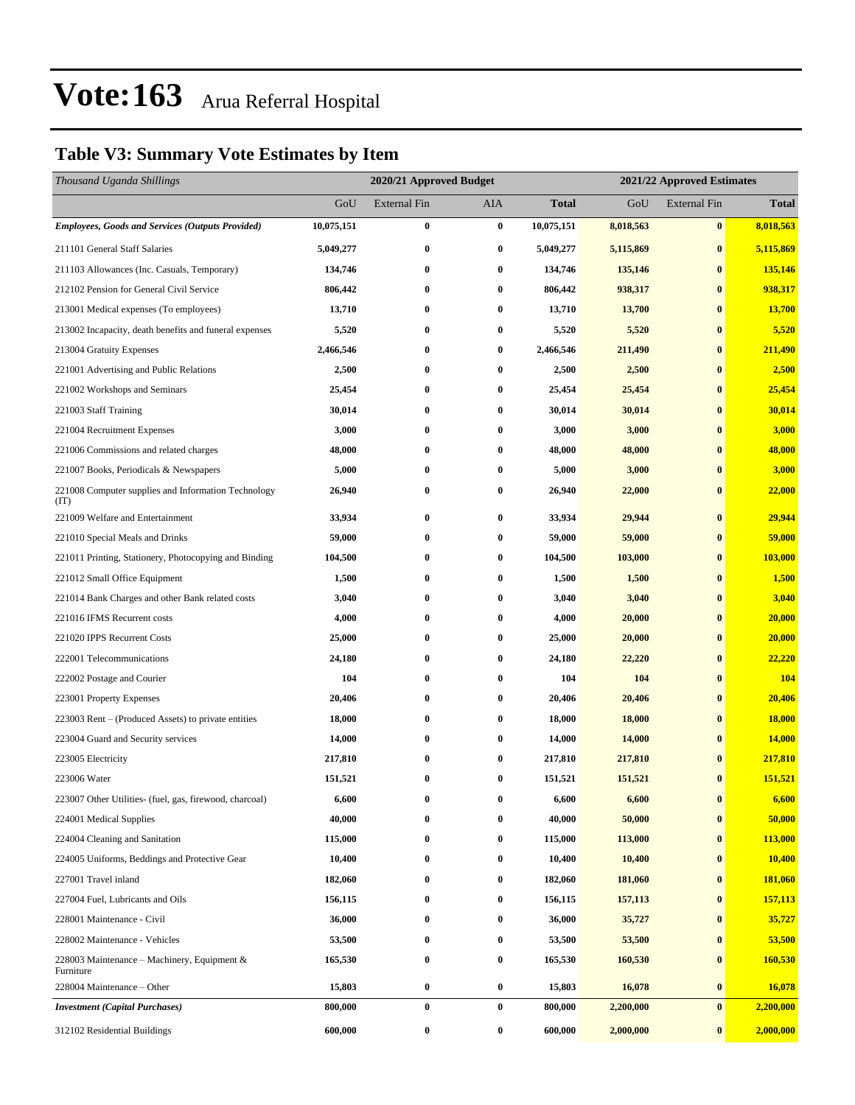### **Table V3: Summary Vote Estimates by Item**

| Thousand Uganda Shillings                                   |            | 2020/21 Approved Budget |           |              | 2021/22 Approved Estimates |                     |              |  |  |
|-------------------------------------------------------------|------------|-------------------------|-----------|--------------|----------------------------|---------------------|--------------|--|--|
|                                                             | GoU        | <b>External Fin</b>     | AIA       | <b>Total</b> | GoU                        | <b>External Fin</b> | <b>Total</b> |  |  |
| <b>Employees, Goods and Services (Outputs Provided)</b>     | 10,075,151 | $\bf{0}$                | $\bf{0}$  | 10,075,151   | 8,018,563                  | $\bf{0}$            | 8,018,563    |  |  |
| 211101 General Staff Salaries                               | 5,049,277  | $\bf{0}$                | $\bf{0}$  | 5,049,277    | 5,115,869                  | $\bf{0}$            | 5,115,869    |  |  |
| 211103 Allowances (Inc. Casuals, Temporary)                 | 134,746    | 0                       | $\bf{0}$  | 134,746      | 135,146                    | $\bf{0}$            | 135,146      |  |  |
| 212102 Pension for General Civil Service                    | 806,442    | $\bf{0}$                | $\bf{0}$  | 806,442      | 938,317                    | $\bf{0}$            | 938,317      |  |  |
| 213001 Medical expenses (To employees)                      | 13,710     | 0                       | $\bf{0}$  | 13,710       | 13,700                     | $\bf{0}$            | 13,700       |  |  |
| 213002 Incapacity, death benefits and funeral expenses      | 5,520      | $\bf{0}$                | $\bf{0}$  | 5,520        | 5,520                      | $\bf{0}$            | 5,520        |  |  |
| 213004 Gratuity Expenses                                    | 2,466,546  | $\bf{0}$                | $\bf{0}$  | 2,466,546    | 211,490                    | $\bf{0}$            | 211,490      |  |  |
| 221001 Advertising and Public Relations                     | 2,500      | 0                       | $\bf{0}$  | 2,500        | 2,500                      | $\bf{0}$            | 2,500        |  |  |
| 221002 Workshops and Seminars                               | 25,454     | $\bf{0}$                | $\bf{0}$  | 25,454       | 25,454                     | $\bf{0}$            | 25,454       |  |  |
| 221003 Staff Training                                       | 30,014     | 0                       | $\bf{0}$  | 30,014       | 30,014                     | $\bf{0}$            | 30,014       |  |  |
| 221004 Recruitment Expenses                                 | 3,000      | $\bf{0}$                | $\bf{0}$  | 3,000        | 3,000                      | $\bf{0}$            | 3,000        |  |  |
| 221006 Commissions and related charges                      | 48,000     | $\bf{0}$                | $\bf{0}$  | 48,000       | 48,000                     | $\bf{0}$            | 48,000       |  |  |
| 221007 Books, Periodicals & Newspapers                      | 5,000      | 0                       | $\bf{0}$  | 5,000        | 3,000                      | $\bf{0}$            | 3,000        |  |  |
| 221008 Computer supplies and Information Technology<br>(TT) | 26,940     | $\bf{0}$                | $\bf{0}$  | 26,940       | 22,000                     | $\bf{0}$            | 22,000       |  |  |
| 221009 Welfare and Entertainment                            | 33,934     | $\bf{0}$                | $\bf{0}$  | 33,934       | 29,944                     | $\bf{0}$            | 29,944       |  |  |
| 221010 Special Meals and Drinks                             | 59,000     | 0                       | $\bf{0}$  | 59,000       | 59,000                     | $\bf{0}$            | 59,000       |  |  |
| 221011 Printing, Stationery, Photocopying and Binding       | 104,500    | 0                       | $\bf{0}$  | 104,500      | 103,000                    | $\bf{0}$            | 103,000      |  |  |
| 221012 Small Office Equipment                               | 1,500      | $\bf{0}$                | $\bf{0}$  | 1,500        | 1,500                      | $\bf{0}$            | 1,500        |  |  |
| 221014 Bank Charges and other Bank related costs            | 3,040      | 0                       | $\bf{0}$  | 3,040        | 3,040                      | $\bf{0}$            | 3,040        |  |  |
| 221016 IFMS Recurrent costs                                 | 4,000      | $\bf{0}$                | $\bf{0}$  | 4,000        | 20,000                     | $\bf{0}$            | 20,000       |  |  |
| 221020 IPPS Recurrent Costs                                 | 25,000     | 0                       | $\bf{0}$  | 25,000       | 20,000                     | $\bf{0}$            | 20,000       |  |  |
| 222001 Telecommunications                                   | 24,180     | 0                       | $\bf{0}$  | 24,180       | 22,220                     | $\bf{0}$            | 22,220       |  |  |
| 222002 Postage and Courier                                  | 104        | $\bf{0}$                | $\bf{0}$  | 104          | 104                        | $\bf{0}$            | 104          |  |  |
| 223001 Property Expenses                                    | 20,406     | 0                       | $\bf{0}$  | 20,406       | 20,406                     | $\bf{0}$            | 20,406       |  |  |
| 223003 Rent – (Produced Assets) to private entities         | 18,000     | $\bf{0}$                | $\bf{0}$  | 18,000       | 18,000                     | $\bf{0}$            | 18,000       |  |  |
| 223004 Guard and Security services                          | 14,000     | 0                       | $\bf{0}$  | 14,000       | 14,000                     | $\bf{0}$            | 14,000       |  |  |
| 223005 Electricity                                          | 217,810    | 0                       | $\bf{0}$  | 217,810      | 217,810                    | $\bf{0}$            | 217,810      |  |  |
| 223006 Water                                                | 151,521    | $\bf{0}$                | $\bf{0}$  | 151,521      | 151,521                    | $\bf{0}$            | 151,521      |  |  |
| 223007 Other Utilities- (fuel, gas, firewood, charcoal)     | 6,600      | $\bf{0}$                | 0         | 6,600        | 6,600                      | $\bf{0}$            | 6,600        |  |  |
| 224001 Medical Supplies                                     | 40,000     | $\bf{0}$                | $\bf{0}$  | 40,000       | 50,000                     | $\bf{0}$            | 50,000       |  |  |
| 224004 Cleaning and Sanitation                              | 115,000    | 0                       | $\bf{0}$  | 115,000      | 113,000                    | $\bf{0}$            | 113,000      |  |  |
| 224005 Uniforms, Beddings and Protective Gear               | 10,400     | $\bf{0}$                | $\bf{0}$  | 10,400       | 10,400                     | $\bf{0}$            | 10,400       |  |  |
| 227001 Travel inland                                        | 182,060    | $\bf{0}$                | $\bf{0}$  | 182,060      | 181,060                    | $\bf{0}$            | 181,060      |  |  |
| 227004 Fuel, Lubricants and Oils                            | 156,115    | 0                       | $\bf{0}$  | 156,115      | 157,113                    | $\bf{0}$            | 157,113      |  |  |
| 228001 Maintenance - Civil                                  | 36,000     | $\bf{0}$                | $\bf{0}$  | 36,000       | 35,727                     | $\bf{0}$            | 35,727       |  |  |
| 228002 Maintenance - Vehicles                               | 53,500     | $\bf{0}$                | $\bf{0}$  | 53,500       | 53,500                     | $\bf{0}$            | 53,500       |  |  |
| 228003 Maintenance – Machinery, Equipment &<br>Furniture    | 165,530    | $\bf{0}$                | $\bf{0}$  | 165,530      | 160,530                    | $\bf{0}$            | 160,530      |  |  |
| 228004 Maintenance – Other                                  | 15,803     | $\bf{0}$                | $\pmb{0}$ | 15,803       | 16,078                     | $\bf{0}$            | 16,078       |  |  |
| <b>Investment</b> (Capital Purchases)                       | 800,000    | $\bf{0}$                | $\bf{0}$  | 800,000      | 2,200,000                  | $\bf{0}$            | 2,200,000    |  |  |
| 312102 Residential Buildings                                | 600,000    | $\boldsymbol{0}$        | $\bf{0}$  | 600,000      | 2,000,000                  | $\bf{0}$            | 2,000,000    |  |  |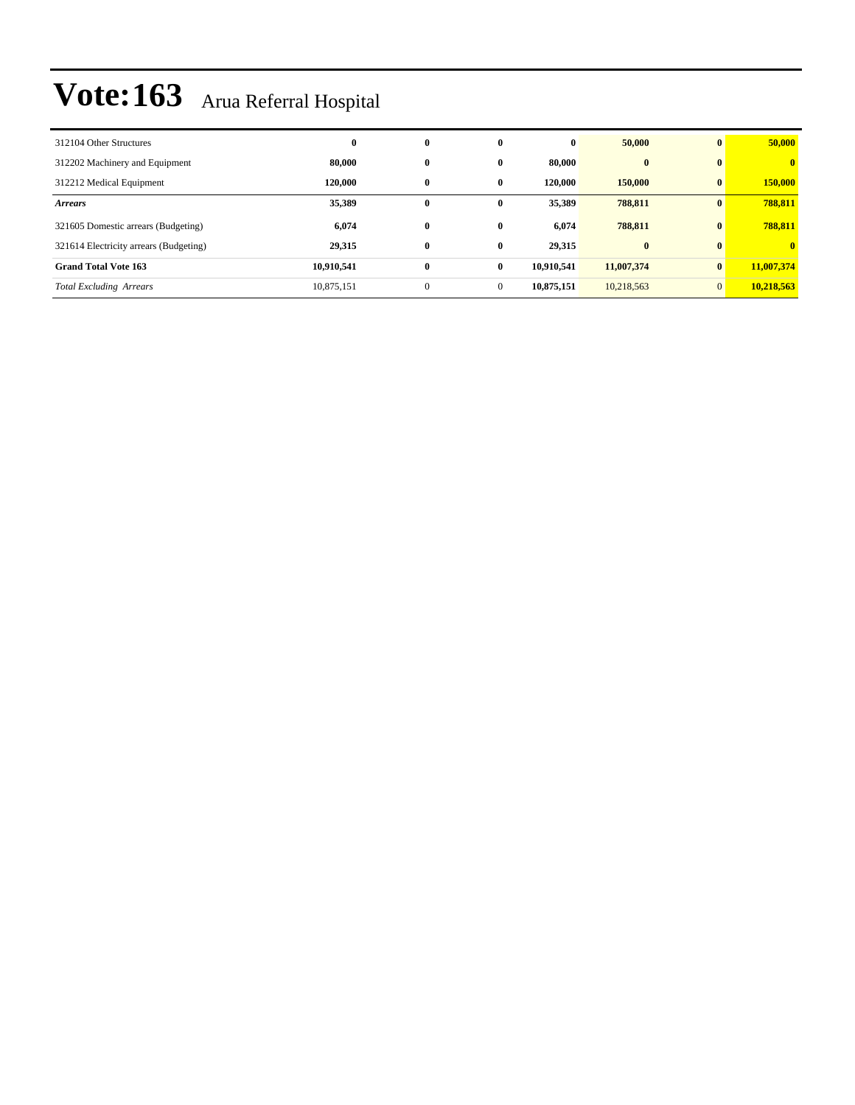| 312104 Other Structures                | $\bf{0}$   | $\bf{0}$     | $\bf{0}$     | $\bf{0}$   | 50,000     | $\bf{0}$       | 50,000       |
|----------------------------------------|------------|--------------|--------------|------------|------------|----------------|--------------|
| 312202 Machinery and Equipment         | 80,000     | $\bf{0}$     | $\mathbf{0}$ | 80,000     | $\bf{0}$   | $\mathbf{0}$   | $\mathbf{0}$ |
| 312212 Medical Equipment               | 120,000    | $\mathbf{0}$ | $\mathbf{0}$ | 120,000    | 150,000    | $\mathbf{0}$   | 150,000      |
| <b>Arrears</b>                         | 35,389     | $\mathbf{0}$ | $\mathbf{0}$ | 35,389     | 788,811    | $\mathbf{0}$   | 788,811      |
| 321605 Domestic arrears (Budgeting)    | 6,074      | $\bf{0}$     | $\bf{0}$     | 6,074      | 788,811    | $\mathbf{0}$   | 788,811      |
| 321614 Electricity arrears (Budgeting) | 29,315     | $\bf{0}$     | $\mathbf{0}$ | 29,315     | $\bf{0}$   | $\mathbf{0}$   | $\mathbf{0}$ |
| <b>Grand Total Vote 163</b>            | 10,910,541 | $\bf{0}$     | $\bf{0}$     | 10.910.541 | 11,007,374 | $\bf{0}$       | 11,007,374   |
| <b>Total Excluding Arrears</b>         | 10,875,151 | $\mathbf{0}$ | $\mathbf{0}$ | 10,875,151 | 10,218,563 | $\overline{0}$ | 10,218,563   |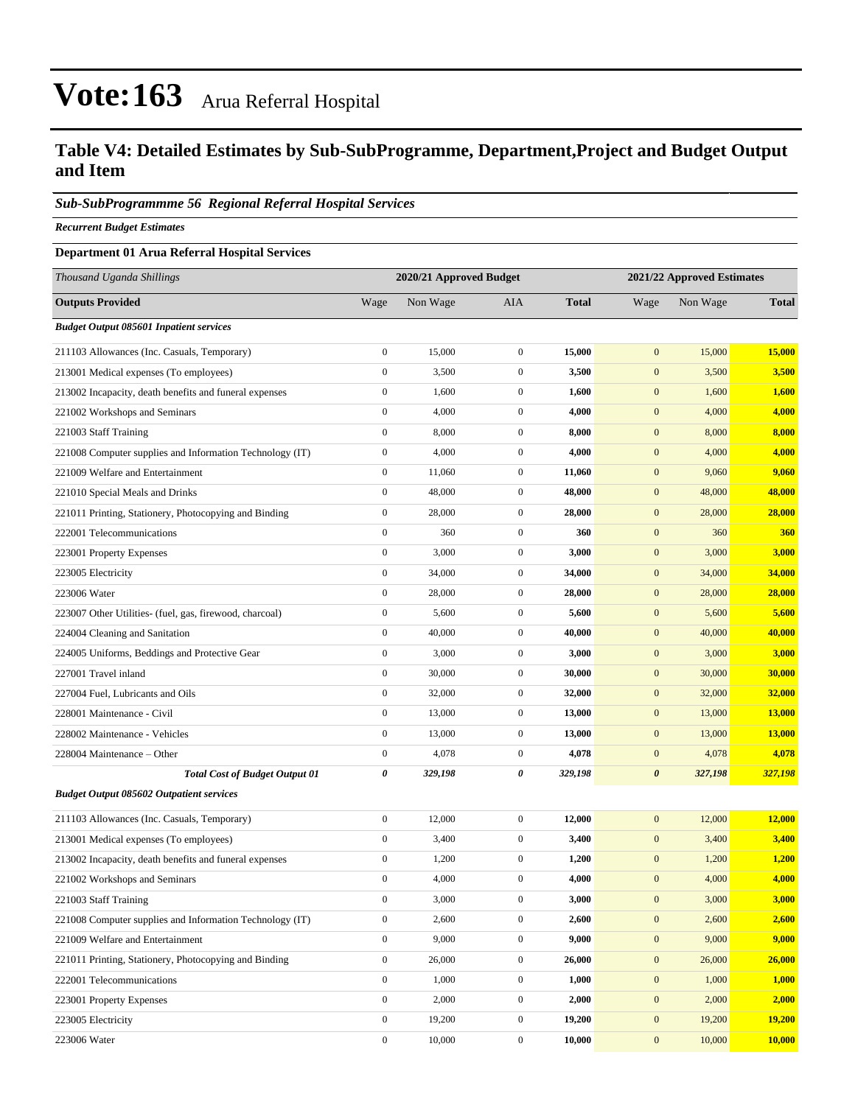### **Table V4: Detailed Estimates by Sub-SubProgramme, Department,Project and Budget Output and Item**

#### *Sub-SubProgrammme 56 Regional Referral Hospital Services*

*Recurrent Budget Estimates*

#### **Department 01 Arua Referral Hospital Services**

| Thousand Uganda Shillings                                |                  | 2020/21 Approved Budget |                  |              | 2021/22 Approved Estimates |          |               |
|----------------------------------------------------------|------------------|-------------------------|------------------|--------------|----------------------------|----------|---------------|
| <b>Outputs Provided</b>                                  | Wage             | Non Wage                | AIA              | <b>Total</b> | Wage                       | Non Wage | <b>Total</b>  |
| <b>Budget Output 085601 Inpatient services</b>           |                  |                         |                  |              |                            |          |               |
| 211103 Allowances (Inc. Casuals, Temporary)              | $\boldsymbol{0}$ | 15,000                  | $\boldsymbol{0}$ | 15,000       | $\boldsymbol{0}$           | 15,000   | 15,000        |
| 213001 Medical expenses (To employees)                   | $\boldsymbol{0}$ | 3,500                   | $\boldsymbol{0}$ | 3,500        | $\boldsymbol{0}$           | 3,500    | 3,500         |
| 213002 Incapacity, death benefits and funeral expenses   | $\boldsymbol{0}$ | 1,600                   | $\boldsymbol{0}$ | 1,600        | $\boldsymbol{0}$           | 1,600    | 1,600         |
| 221002 Workshops and Seminars                            | $\boldsymbol{0}$ | 4,000                   | $\boldsymbol{0}$ | 4,000        | $\mathbf{0}$               | 4,000    | 4,000         |
| 221003 Staff Training                                    | $\boldsymbol{0}$ | 8,000                   | $\boldsymbol{0}$ | 8,000        | $\boldsymbol{0}$           | 8,000    | 8,000         |
| 221008 Computer supplies and Information Technology (IT) | $\boldsymbol{0}$ | 4,000                   | $\boldsymbol{0}$ | 4,000        | $\boldsymbol{0}$           | 4,000    | 4,000         |
| 221009 Welfare and Entertainment                         | $\boldsymbol{0}$ | 11,060                  | $\boldsymbol{0}$ | 11,060       | $\boldsymbol{0}$           | 9,060    | 9,060         |
| 221010 Special Meals and Drinks                          | $\boldsymbol{0}$ | 48,000                  | $\boldsymbol{0}$ | 48,000       | $\boldsymbol{0}$           | 48,000   | 48,000        |
| 221011 Printing, Stationery, Photocopying and Binding    | $\boldsymbol{0}$ | 28,000                  | $\boldsymbol{0}$ | 28,000       | $\mathbf{0}$               | 28,000   | 28,000        |
| 222001 Telecommunications                                | $\boldsymbol{0}$ | 360                     | $\boldsymbol{0}$ | 360          | $\boldsymbol{0}$           | 360      | 360           |
| 223001 Property Expenses                                 | $\boldsymbol{0}$ | 3,000                   | $\boldsymbol{0}$ | 3,000        | $\boldsymbol{0}$           | 3,000    | 3,000         |
| 223005 Electricity                                       | $\boldsymbol{0}$ | 34,000                  | $\boldsymbol{0}$ | 34,000       | $\boldsymbol{0}$           | 34,000   | 34,000        |
| 223006 Water                                             | $\boldsymbol{0}$ | 28,000                  | $\boldsymbol{0}$ | 28,000       | $\boldsymbol{0}$           | 28,000   | 28,000        |
| 223007 Other Utilities- (fuel, gas, firewood, charcoal)  | $\boldsymbol{0}$ | 5,600                   | $\boldsymbol{0}$ | 5,600        | $\boldsymbol{0}$           | 5,600    | 5,600         |
| 224004 Cleaning and Sanitation                           | $\boldsymbol{0}$ | 40,000                  | $\boldsymbol{0}$ | 40,000       | $\boldsymbol{0}$           | 40,000   | 40,000        |
| 224005 Uniforms, Beddings and Protective Gear            | $\boldsymbol{0}$ | 3,000                   | $\boldsymbol{0}$ | 3,000        | $\boldsymbol{0}$           | 3,000    | 3,000         |
| 227001 Travel inland                                     | $\boldsymbol{0}$ | 30,000                  | $\boldsymbol{0}$ | 30,000       | $\boldsymbol{0}$           | 30,000   | 30,000        |
| 227004 Fuel, Lubricants and Oils                         | $\boldsymbol{0}$ | 32,000                  | $\boldsymbol{0}$ | 32,000       | $\boldsymbol{0}$           | 32,000   | 32,000        |
| 228001 Maintenance - Civil                               | $\boldsymbol{0}$ | 13,000                  | $\boldsymbol{0}$ | 13,000       | $\boldsymbol{0}$           | 13,000   | <b>13,000</b> |
| 228002 Maintenance - Vehicles                            | $\boldsymbol{0}$ | 13,000                  | $\boldsymbol{0}$ | 13,000       | $\boldsymbol{0}$           | 13,000   | <b>13,000</b> |
| 228004 Maintenance - Other                               | $\boldsymbol{0}$ | 4,078                   | $\boldsymbol{0}$ | 4,078        | $\boldsymbol{0}$           | 4,078    | 4,078         |
| <b>Total Cost of Budget Output 01</b>                    | 0                | 329,198                 | 0                | 329,198      | $\pmb{\theta}$             | 327,198  | 327,198       |
| <b>Budget Output 085602 Outpatient services</b>          |                  |                         |                  |              |                            |          |               |
| 211103 Allowances (Inc. Casuals, Temporary)              | $\boldsymbol{0}$ | 12,000                  | $\boldsymbol{0}$ | 12,000       | $\boldsymbol{0}$           | 12,000   | 12,000        |
| 213001 Medical expenses (To employees)                   | $\boldsymbol{0}$ | 3,400                   | $\boldsymbol{0}$ | 3,400        | $\boldsymbol{0}$           | 3,400    | 3,400         |
| 213002 Incapacity, death benefits and funeral expenses   | $\boldsymbol{0}$ | 1,200                   | $\boldsymbol{0}$ | 1,200        | $\boldsymbol{0}$           | 1,200    | 1,200         |
| 221002 Workshops and Seminars                            | $\boldsymbol{0}$ | 4,000                   | $\boldsymbol{0}$ | 4,000        | $\mathbf{0}$               | 4,000    | 4,000         |
| 221003 Staff Training                                    | $\boldsymbol{0}$ | 3,000                   | $\boldsymbol{0}$ | 3,000        | $\boldsymbol{0}$           | 3,000    | 3,000         |
| 221008 Computer supplies and Information Technology (IT) | $\boldsymbol{0}$ | 2,600                   | $\boldsymbol{0}$ | 2,600        | $\boldsymbol{0}$           | 2,600    | 2,600         |
| 221009 Welfare and Entertainment                         | $\boldsymbol{0}$ | 9,000                   | $\boldsymbol{0}$ | 9,000        | $\boldsymbol{0}$           | 9,000    | 9,000         |
| 221011 Printing, Stationery, Photocopying and Binding    | $\boldsymbol{0}$ | 26,000                  | $\boldsymbol{0}$ | 26,000       | $\mathbf{0}$               | 26,000   | 26,000        |
| 222001 Telecommunications                                | $\boldsymbol{0}$ | 1,000                   | $\boldsymbol{0}$ | 1,000        | $\mathbf{0}$               | 1,000    | 1,000         |
| 223001 Property Expenses                                 | $\boldsymbol{0}$ | 2,000                   | $\boldsymbol{0}$ | 2,000        | $\boldsymbol{0}$           | 2,000    | 2,000         |
| 223005 Electricity                                       | $\boldsymbol{0}$ | 19,200                  | $\boldsymbol{0}$ | 19,200       | $\boldsymbol{0}$           | 19,200   | 19,200        |
| 223006 Water                                             | $\boldsymbol{0}$ | 10,000                  | $\overline{0}$   | 10,000       | $\mathbf{0}$               | 10,000   | 10,000        |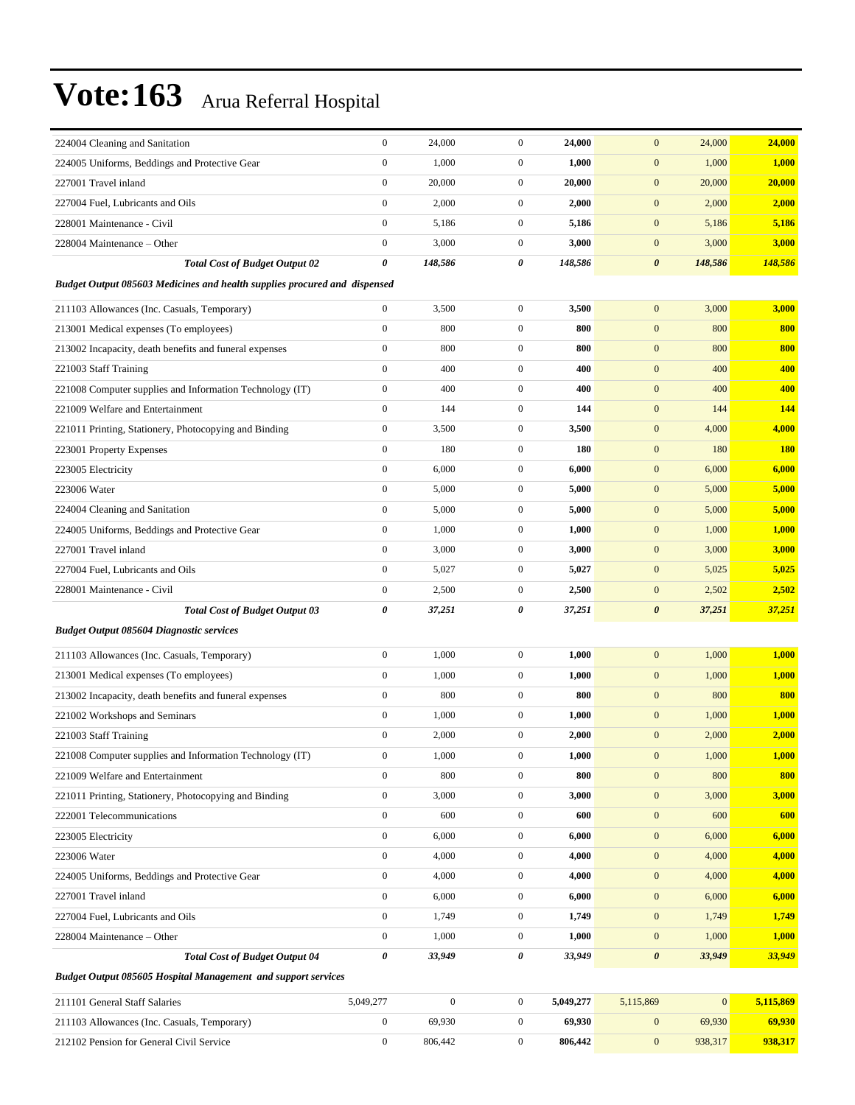| 224004 Cleaning and Sanitation                                            | $\boldsymbol{0}$ | 24,000           | $\mathbf{0}$     | 24,000    | 24,000<br>$\mathbf{0}$           | 24,000     |
|---------------------------------------------------------------------------|------------------|------------------|------------------|-----------|----------------------------------|------------|
| 224005 Uniforms, Beddings and Protective Gear                             | $\boldsymbol{0}$ | 1,000            | $\mathbf{0}$     | 1,000     | $\boldsymbol{0}$<br>1,000        | 1,000      |
| 227001 Travel inland                                                      | $\boldsymbol{0}$ | 20,000           | $\mathbf{0}$     | 20,000    | $\mathbf{0}$<br>20,000           | 20,000     |
| 227004 Fuel, Lubricants and Oils                                          | $\boldsymbol{0}$ | 2,000            | $\boldsymbol{0}$ | 2,000     | $\boldsymbol{0}$<br>2,000        | 2,000      |
| 228001 Maintenance - Civil                                                | $\boldsymbol{0}$ | 5,186            | $\mathbf{0}$     | 5,186     | $\boldsymbol{0}$<br>5,186        | 5,186      |
| 228004 Maintenance - Other                                                | $\boldsymbol{0}$ | 3,000            | $\boldsymbol{0}$ | 3,000     | $\mathbf{0}$<br>3,000            | 3,000      |
| <b>Total Cost of Budget Output 02</b>                                     | 0                | 148,586          | 0                | 148,586   | 148,586<br>$\boldsymbol{\theta}$ | 148,586    |
| Budget Output 085603 Medicines and health supplies procured and dispensed |                  |                  |                  |           |                                  |            |
| 211103 Allowances (Inc. Casuals, Temporary)                               | $\boldsymbol{0}$ | 3,500            | $\boldsymbol{0}$ | 3,500     | $\mathbf{0}$<br>3,000            | 3,000      |
| 213001 Medical expenses (To employees)                                    | $\boldsymbol{0}$ | 800              | $\boldsymbol{0}$ | 800       | $\mathbf{0}$<br>800              | 800        |
| 213002 Incapacity, death benefits and funeral expenses                    | $\boldsymbol{0}$ | 800              | $\mathbf{0}$     | 800       | $\mathbf{0}$<br>800              | 800        |
| 221003 Staff Training                                                     | $\mathbf{0}$     | 400              | $\mathbf{0}$     | 400       | $\mathbf{0}$<br>400              | 400        |
| 221008 Computer supplies and Information Technology (IT)                  | $\boldsymbol{0}$ | 400              | $\mathbf{0}$     | 400       | $\boldsymbol{0}$<br>400          | 400        |
| 221009 Welfare and Entertainment                                          | $\boldsymbol{0}$ | 144              | $\boldsymbol{0}$ | 144       | $\mathbf{0}$<br>144              | 144        |
| 221011 Printing, Stationery, Photocopying and Binding                     | $\boldsymbol{0}$ | 3,500            | $\boldsymbol{0}$ | 3,500     | $\boldsymbol{0}$<br>4,000        | 4,000      |
| 223001 Property Expenses                                                  | $\boldsymbol{0}$ | 180              | $\mathbf{0}$     | 180       | $\boldsymbol{0}$<br>180          | <b>180</b> |
| 223005 Electricity                                                        | $\boldsymbol{0}$ | 6,000            | $\boldsymbol{0}$ | 6,000     | $\boldsymbol{0}$<br>6,000        | 6,000      |
| 223006 Water                                                              | $\boldsymbol{0}$ | 5,000            | $\mathbf{0}$     | 5,000     | $\boldsymbol{0}$<br>5,000        | 5,000      |
| 224004 Cleaning and Sanitation                                            | $\boldsymbol{0}$ | 5,000            | $\boldsymbol{0}$ | 5,000     | $\mathbf{0}$<br>5,000            | 5,000      |
| 224005 Uniforms, Beddings and Protective Gear                             | $\boldsymbol{0}$ | 1,000            | $\boldsymbol{0}$ | 1,000     | $\boldsymbol{0}$<br>1,000        | 1,000      |
| 227001 Travel inland                                                      | $\boldsymbol{0}$ | 3,000            | $\mathbf{0}$     | 3,000     | $\boldsymbol{0}$<br>3,000        | 3,000      |
| 227004 Fuel, Lubricants and Oils                                          | $\boldsymbol{0}$ | 5,027            | $\boldsymbol{0}$ | 5,027     | $\boldsymbol{0}$<br>5,025        | 5,025      |
| 228001 Maintenance - Civil                                                | $\boldsymbol{0}$ | 2,500            | $\mathbf{0}$     | 2,500     | $\boldsymbol{0}$<br>2,502        | 2,502      |
| <b>Total Cost of Budget Output 03</b>                                     | 0                | 37,251           | 0                | 37,251    | $\boldsymbol{\theta}$<br>37,251  | 37,251     |
| <b>Budget Output 085604 Diagnostic services</b>                           |                  |                  |                  |           |                                  |            |
| 211103 Allowances (Inc. Casuals, Temporary)                               | $\boldsymbol{0}$ | 1,000            | $\boldsymbol{0}$ | 1,000     | $\mathbf{0}$<br>1,000            | 1,000      |
| 213001 Medical expenses (To employees)                                    | $\boldsymbol{0}$ | 1,000            | $\boldsymbol{0}$ | 1,000     | $\mathbf{0}$<br>1,000            | 1,000      |
| 213002 Incapacity, death benefits and funeral expenses                    | $\boldsymbol{0}$ | 800              | $\boldsymbol{0}$ | 800       | $\mathbf{0}$<br>800              | 800        |
| 221002 Workshops and Seminars                                             | $\boldsymbol{0}$ | 1,000            | $\mathbf{0}$     | 1,000     | $\mathbf{0}$<br>1,000            | 1,000      |
| 221003 Staff Training                                                     | $\boldsymbol{0}$ | 2,000            | $\boldsymbol{0}$ | 2,000     | $\mathbf{0}$<br>2,000            | 2,000      |
| 221008 Computer supplies and Information Technology (IT)                  | $\boldsymbol{0}$ | 1,000            | $\overline{0}$   | 1,000     | 1,000<br>$\boldsymbol{0}$        | 1,000      |
| 221009 Welfare and Entertainment                                          | $\boldsymbol{0}$ | 800              | $\mathbf{0}$     | 800       | $\boldsymbol{0}$<br>800          | 800        |
| 221011 Printing, Stationery, Photocopying and Binding                     | $\boldsymbol{0}$ | 3,000            | $\boldsymbol{0}$ | 3,000     | $\boldsymbol{0}$<br>3,000        | 3,000      |
| 222001 Telecommunications                                                 | $\boldsymbol{0}$ | 600              | $\boldsymbol{0}$ | 600       | $\boldsymbol{0}$<br>600          | 600        |
| 223005 Electricity                                                        | $\boldsymbol{0}$ | 6,000            | $\overline{0}$   | 6,000     | $\boldsymbol{0}$<br>6,000        | 6,000      |
| 223006 Water                                                              | $\boldsymbol{0}$ | 4,000            | $\boldsymbol{0}$ | 4,000     | $\boldsymbol{0}$<br>4,000        | 4,000      |
| 224005 Uniforms, Beddings and Protective Gear                             | $\boldsymbol{0}$ | 4,000            | $\boldsymbol{0}$ | 4,000     | $\boldsymbol{0}$<br>4,000        | 4,000      |
| 227001 Travel inland                                                      | $\boldsymbol{0}$ | 6,000            | $\boldsymbol{0}$ | 6,000     | $\boldsymbol{0}$<br>6,000        | 6,000      |
| 227004 Fuel, Lubricants and Oils                                          | $\boldsymbol{0}$ | 1,749            | $\boldsymbol{0}$ | 1,749     | $\boldsymbol{0}$<br>1,749        | 1,749      |
| 228004 Maintenance - Other                                                | $\boldsymbol{0}$ | 1,000            | $\mathbf{0}$     | 1,000     | $\boldsymbol{0}$<br>1,000        | 1,000      |
| <b>Total Cost of Budget Output 04</b>                                     | 0                | 33,949           | 0                | 33,949    | $\pmb{\theta}$<br>33,949         | 33,949     |
| Budget Output 085605 Hospital Management and support services             |                  |                  |                  |           |                                  |            |
| 211101 General Staff Salaries                                             | 5,049,277        | $\boldsymbol{0}$ | $\mathbf{0}$     | 5,049,277 | $\mathbf{0}$<br>5,115,869        | 5,115,869  |
| 211103 Allowances (Inc. Casuals, Temporary)                               | $\boldsymbol{0}$ | 69,930           | $\boldsymbol{0}$ | 69,930    | $\mathbf{0}$<br>69,930           | 69,930     |
| 212102 Pension for General Civil Service                                  | $\boldsymbol{0}$ | 806,442          | $\boldsymbol{0}$ | 806,442   | $\boldsymbol{0}$<br>938,317      | 938,317    |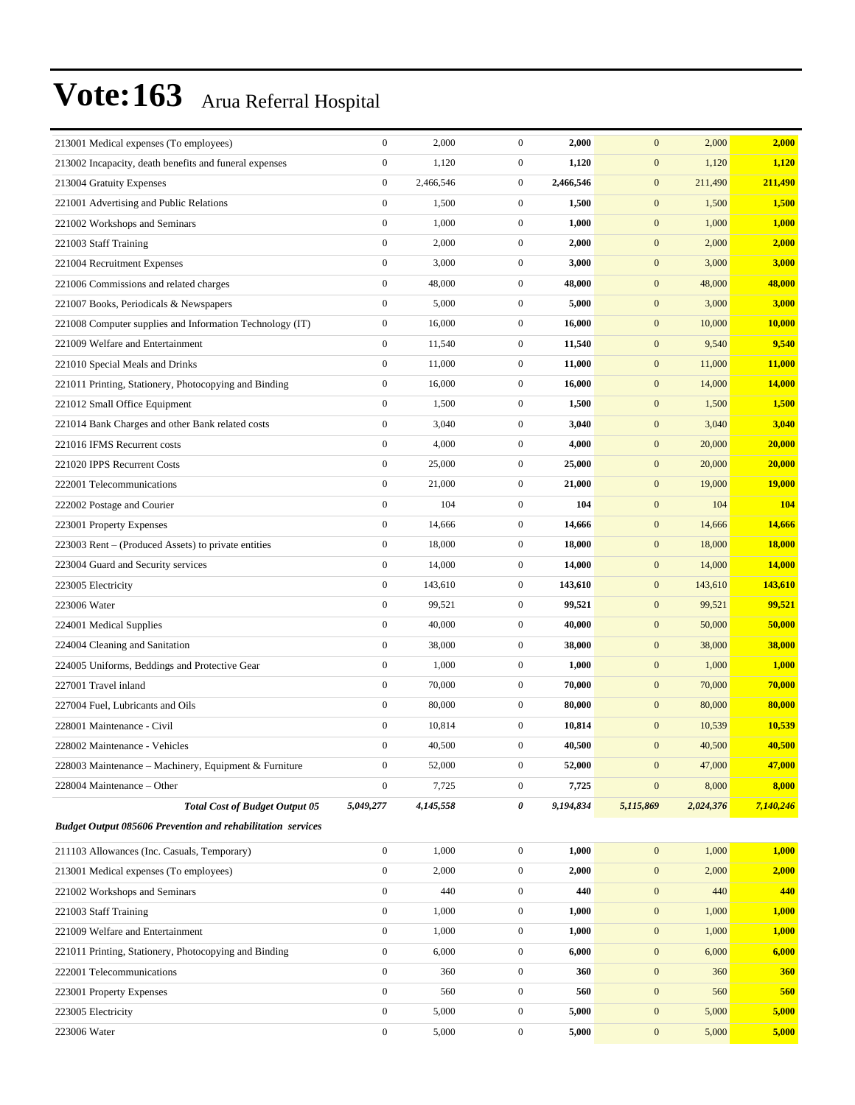| 213001 Medical expenses (To employees)                             | $\boldsymbol{0}$ | 2,000     | $\mathbf{0}$     | 2,000     | $\mathbf{0}$     | 2,000     | 2,000     |
|--------------------------------------------------------------------|------------------|-----------|------------------|-----------|------------------|-----------|-----------|
| 213002 Incapacity, death benefits and funeral expenses             | $\boldsymbol{0}$ | 1,120     | $\boldsymbol{0}$ | 1,120     | $\boldsymbol{0}$ | 1,120     | 1,120     |
| 213004 Gratuity Expenses                                           | $\boldsymbol{0}$ | 2,466,546 | $\boldsymbol{0}$ | 2,466,546 | $\boldsymbol{0}$ | 211,490   | 211,490   |
| 221001 Advertising and Public Relations                            | $\boldsymbol{0}$ | 1,500     | $\boldsymbol{0}$ | 1,500     | $\boldsymbol{0}$ | 1,500     | 1,500     |
| 221002 Workshops and Seminars                                      | $\boldsymbol{0}$ | 1,000     | $\boldsymbol{0}$ | 1,000     | $\mathbf{0}$     | 1,000     | 1,000     |
| 221003 Staff Training                                              | $\boldsymbol{0}$ | 2,000     | $\boldsymbol{0}$ | 2,000     | $\mathbf{0}$     | 2,000     | 2,000     |
| 221004 Recruitment Expenses                                        | $\boldsymbol{0}$ | 3,000     | $\boldsymbol{0}$ | 3,000     | $\boldsymbol{0}$ | 3,000     | 3,000     |
| 221006 Commissions and related charges                             | $\boldsymbol{0}$ | 48,000    | $\boldsymbol{0}$ | 48,000    | $\boldsymbol{0}$ | 48,000    | 48,000    |
| 221007 Books, Periodicals & Newspapers                             | $\boldsymbol{0}$ | 5,000     | $\boldsymbol{0}$ | 5,000     | $\boldsymbol{0}$ | 3,000     | 3,000     |
| 221008 Computer supplies and Information Technology (IT)           | $\boldsymbol{0}$ | 16,000    | $\boldsymbol{0}$ | 16,000    | $\boldsymbol{0}$ | 10,000    | 10,000    |
| 221009 Welfare and Entertainment                                   | $\boldsymbol{0}$ | 11,540    | $\boldsymbol{0}$ | 11,540    | $\boldsymbol{0}$ | 9,540     | 9,540     |
| 221010 Special Meals and Drinks                                    | $\boldsymbol{0}$ | 11,000    | $\boldsymbol{0}$ | 11,000    | $\boldsymbol{0}$ | 11,000    | 11,000    |
| 221011 Printing, Stationery, Photocopying and Binding              | $\boldsymbol{0}$ | 16,000    | $\boldsymbol{0}$ | 16,000    | $\mathbf{0}$     | 14,000    | 14,000    |
| 221012 Small Office Equipment                                      | $\boldsymbol{0}$ | 1,500     | $\boldsymbol{0}$ | 1,500     | $\boldsymbol{0}$ | 1,500     | 1,500     |
| 221014 Bank Charges and other Bank related costs                   | $\boldsymbol{0}$ | 3,040     | $\boldsymbol{0}$ | 3,040     | $\mathbf{0}$     | 3,040     | 3,040     |
| 221016 IFMS Recurrent costs                                        | $\boldsymbol{0}$ | 4,000     | $\boldsymbol{0}$ | 4,000     | $\boldsymbol{0}$ | 20,000    | 20,000    |
| 221020 IPPS Recurrent Costs                                        | $\boldsymbol{0}$ | 25,000    | $\boldsymbol{0}$ | 25,000    | $\boldsymbol{0}$ | 20,000    | 20,000    |
| 222001 Telecommunications                                          | $\boldsymbol{0}$ | 21,000    | $\boldsymbol{0}$ | 21,000    | $\mathbf{0}$     | 19,000    | 19,000    |
| 222002 Postage and Courier                                         | $\boldsymbol{0}$ | 104       | $\boldsymbol{0}$ | 104       | $\boldsymbol{0}$ | 104       | 104       |
| 223001 Property Expenses                                           | $\boldsymbol{0}$ | 14,666    | $\boldsymbol{0}$ | 14,666    | $\mathbf{0}$     | 14,666    | 14,666    |
| 223003 Rent - (Produced Assets) to private entities                | $\boldsymbol{0}$ | 18,000    | $\boldsymbol{0}$ | 18,000    | $\boldsymbol{0}$ | 18,000    | 18,000    |
| 223004 Guard and Security services                                 | $\boldsymbol{0}$ | 14,000    | $\boldsymbol{0}$ | 14,000    | $\boldsymbol{0}$ | 14,000    | 14,000    |
| 223005 Electricity                                                 | $\boldsymbol{0}$ | 143,610   | $\boldsymbol{0}$ | 143,610   | $\mathbf{0}$     | 143,610   | 143,610   |
| 223006 Water                                                       | $\boldsymbol{0}$ | 99,521    | $\boldsymbol{0}$ | 99,521    | $\boldsymbol{0}$ | 99,521    | 99,521    |
| 224001 Medical Supplies                                            | $\mathbf{0}$     | 40,000    | $\boldsymbol{0}$ | 40,000    | $\mathbf{0}$     | 50,000    | 50,000    |
| 224004 Cleaning and Sanitation                                     | $\boldsymbol{0}$ | 38,000    | $\boldsymbol{0}$ | 38,000    | $\mathbf{0}$     | 38,000    | 38,000    |
| 224005 Uniforms, Beddings and Protective Gear                      | $\boldsymbol{0}$ | 1,000     | $\boldsymbol{0}$ | 1,000     | $\boldsymbol{0}$ | 1,000     | 1,000     |
| 227001 Travel inland                                               | $\mathbf{0}$     | 70,000    | $\boldsymbol{0}$ | 70,000    | $\mathbf{0}$     | 70,000    | 70,000    |
| 227004 Fuel, Lubricants and Oils                                   | $\boldsymbol{0}$ | 80,000    | $\boldsymbol{0}$ | 80,000    | $\boldsymbol{0}$ | 80,000    | 80,000    |
| 228001 Maintenance - Civil                                         | $\boldsymbol{0}$ | 10,814    | $\boldsymbol{0}$ | 10,814    | $\mathbf{0}$     | 10,539    | 10,539    |
| 228002 Maintenance - Vehicles                                      | $\boldsymbol{0}$ | 40,500    | $\mathbf{0}$     | 40,500    | $\mathbf{0}$     | 40,500    | 40,500    |
| 228003 Maintenance – Machinery, Equipment & Furniture              | $\boldsymbol{0}$ | 52,000    | $\boldsymbol{0}$ | 52,000    | $\boldsymbol{0}$ | 47,000    | 47,000    |
| 228004 Maintenance - Other                                         | $\boldsymbol{0}$ | 7,725     | $\boldsymbol{0}$ | 7,725     | $\boldsymbol{0}$ | 8,000     | 8,000     |
| <b>Total Cost of Budget Output 05</b>                              | 5,049,277        | 4,145,558 | 0                | 9,194,834 | 5,115,869        | 2,024,376 | 7,140,246 |
| <b>Budget Output 085606 Prevention and rehabilitation services</b> |                  |           |                  |           |                  |           |           |
| 211103 Allowances (Inc. Casuals, Temporary)                        | $\boldsymbol{0}$ | 1,000     | $\boldsymbol{0}$ | 1,000     | $\boldsymbol{0}$ | 1,000     | 1,000     |
| 213001 Medical expenses (To employees)                             | $\boldsymbol{0}$ | 2,000     | $\boldsymbol{0}$ | 2,000     | $\boldsymbol{0}$ | 2,000     | 2,000     |
| 221002 Workshops and Seminars                                      | $\boldsymbol{0}$ | 440       | $\boldsymbol{0}$ | 440       | $\boldsymbol{0}$ | 440       | 440       |
| 221003 Staff Training                                              | $\mathbf{0}$     | 1,000     | $\boldsymbol{0}$ | 1,000     | $\mathbf{0}$     | 1,000     | 1,000     |
| 221009 Welfare and Entertainment                                   | $\boldsymbol{0}$ | 1,000     | $\boldsymbol{0}$ | 1,000     | $\mathbf{0}$     | 1,000     | 1,000     |
| 221011 Printing, Stationery, Photocopying and Binding              | $\mathbf{0}$     | 6,000     | $\boldsymbol{0}$ | 6,000     | $\mathbf{0}$     | 6,000     | 6,000     |
| 222001 Telecommunications                                          | $\boldsymbol{0}$ | 360       | $\boldsymbol{0}$ | 360       | $\boldsymbol{0}$ | 360       | 360       |
| 223001 Property Expenses                                           | $\boldsymbol{0}$ | 560       | $\boldsymbol{0}$ | 560       | $\boldsymbol{0}$ | 560       | 560       |
| 223005 Electricity                                                 | $\mathbf{0}$     | 5,000     | $\boldsymbol{0}$ | 5,000     | $\mathbf{0}$     | 5,000     | 5,000     |
| 223006 Water                                                       | $\boldsymbol{0}$ | 5,000     | $\boldsymbol{0}$ | 5,000     | $\boldsymbol{0}$ | 5,000     | 5,000     |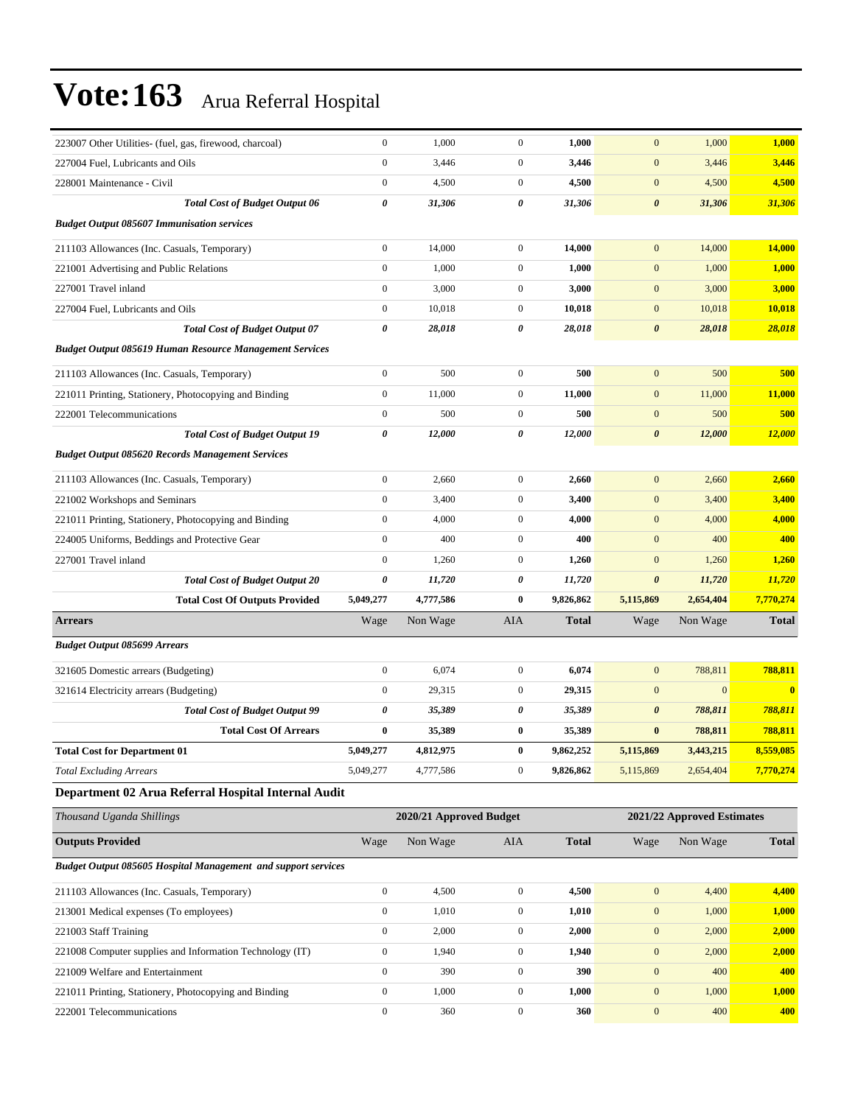| 223007 Other Utilities- (fuel, gas, firewood, charcoal)              | $\boldsymbol{0}$ | 1,000                   | $\boldsymbol{0}$ | 1,000        | $\mathbf{0}$          | 1,000                      | 1,000         |
|----------------------------------------------------------------------|------------------|-------------------------|------------------|--------------|-----------------------|----------------------------|---------------|
| 227004 Fuel, Lubricants and Oils                                     | $\boldsymbol{0}$ | 3,446                   | $\mathbf{0}$     | 3,446        | $\boldsymbol{0}$      | 3,446                      | 3,446         |
| 228001 Maintenance - Civil                                           | $\boldsymbol{0}$ | 4,500                   | $\boldsymbol{0}$ | 4,500        | $\boldsymbol{0}$      | 4,500                      | 4,500         |
| <b>Total Cost of Budget Output 06</b>                                | 0                | 31,306                  | 0                | 31,306       | $\pmb{\theta}$        | 31,306                     | 31,306        |
| <b>Budget Output 085607 Immunisation services</b>                    |                  |                         |                  |              |                       |                            |               |
| 211103 Allowances (Inc. Casuals, Temporary)                          | $\boldsymbol{0}$ | 14,000                  | $\mathbf{0}$     | 14,000       | $\boldsymbol{0}$      | 14,000                     | 14,000        |
| 221001 Advertising and Public Relations                              | $\boldsymbol{0}$ | 1,000                   | $\boldsymbol{0}$ | 1,000        | $\boldsymbol{0}$      | 1,000                      | 1,000         |
| 227001 Travel inland                                                 | $\boldsymbol{0}$ | 3,000                   | $\mathbf{0}$     | 3,000        | $\boldsymbol{0}$      | 3,000                      | 3,000         |
| 227004 Fuel, Lubricants and Oils                                     | $\boldsymbol{0}$ | 10,018                  | $\mathbf{0}$     | 10,018       | $\boldsymbol{0}$      | 10.018                     | 10,018        |
| <b>Total Cost of Budget Output 07</b>                                | 0                | 28,018                  | 0                | 28,018       | $\pmb{\theta}$        | 28,018                     | 28,018        |
| <b>Budget Output 085619 Human Resource Management Services</b>       |                  |                         |                  |              |                       |                            |               |
| 211103 Allowances (Inc. Casuals, Temporary)                          | $\boldsymbol{0}$ | 500                     | $\mathbf{0}$     | 500          | $\mathbf{0}$          | 500                        | 500           |
| 221011 Printing, Stationery, Photocopying and Binding                | $\boldsymbol{0}$ | 11,000                  | $\boldsymbol{0}$ | 11,000       | $\boldsymbol{0}$      | 11,000                     | 11,000        |
| 222001 Telecommunications                                            | $\boldsymbol{0}$ | 500                     | $\mathbf{0}$     | 500          | $\boldsymbol{0}$      | 500                        | 500           |
| <b>Total Cost of Budget Output 19</b>                                | 0                | 12,000                  | 0                | 12,000       | $\boldsymbol{\theta}$ | 12,000                     | <b>12,000</b> |
| <b>Budget Output 085620 Records Management Services</b>              |                  |                         |                  |              |                       |                            |               |
| 211103 Allowances (Inc. Casuals, Temporary)                          | $\boldsymbol{0}$ | 2,660                   | $\boldsymbol{0}$ | 2,660        | $\boldsymbol{0}$      | 2,660                      | 2,660         |
| 221002 Workshops and Seminars                                        | $\boldsymbol{0}$ | 3,400                   | $\boldsymbol{0}$ | 3,400        | $\boldsymbol{0}$      | 3,400                      | 3,400         |
| 221011 Printing, Stationery, Photocopying and Binding                | $\boldsymbol{0}$ | 4,000                   | $\boldsymbol{0}$ | 4,000        | $\boldsymbol{0}$      | 4,000                      | 4,000         |
| 224005 Uniforms, Beddings and Protective Gear                        | $\boldsymbol{0}$ | 400                     | $\boldsymbol{0}$ | 400          | $\mathbf{0}$          | 400                        | 400           |
| 227001 Travel inland                                                 | $\boldsymbol{0}$ | 1,260                   | $\boldsymbol{0}$ | 1,260        | $\mathbf{0}$          | 1,260                      | 1,260         |
| <b>Total Cost of Budget Output 20</b>                                | 0                | 11,720                  | 0                | 11,720       | 0                     | 11,720                     | 11,720        |
| <b>Total Cost Of Outputs Provided</b>                                | 5,049,277        | 4,777,586               | $\bf{0}$         | 9,826,862    | 5,115,869             | 2,654,404                  | 7,770,274     |
| <b>Arrears</b>                                                       | Wage             | Non Wage                | AIA              | Total        | Wage                  | Non Wage                   | <b>Total</b>  |
| <b>Budget Output 085699 Arrears</b>                                  |                  |                         |                  |              |                       |                            |               |
| 321605 Domestic arrears (Budgeting)                                  | $\boldsymbol{0}$ | 6,074                   | $\mathbf{0}$     | 6,074        | $\mathbf{0}$          | 788,811                    | 788,811       |
| 321614 Electricity arrears (Budgeting)                               | $\boldsymbol{0}$ | 29,315                  | $\mathbf{0}$     | 29,315       | $\mathbf{0}$          | $\mathbf{0}$               | $\mathbf{0}$  |
| <b>Total Cost of Budget Output 99</b>                                | 0                | 35,389                  | 0                | 35,389       | $\boldsymbol{\theta}$ | 788,811                    | 788,811       |
| <b>Total Cost Of Arrears</b>                                         | $\bf{0}$         | 35,389                  | $\bf{0}$         | 35,389       | $\bf{0}$              | 788,811                    | 788,811       |
| <b>Total Cost for Department 01</b>                                  | 5,049,277        | 4,812,975               | $\bf{0}$         | 9,862,252    | 5,115,869             | 3,443,215                  | 8,559,085     |
| <b>Total Excluding Arrears</b>                                       | 5,049,277        | 4,777,586               | $\mathbf{0}$     | 9,826,862    | 5,115,869             | 2,654,404                  | 7,770,274     |
| Department 02 Arua Referral Hospital Internal Audit                  |                  |                         |                  |              |                       |                            |               |
| Thousand Uganda Shillings                                            |                  | 2020/21 Approved Budget |                  |              |                       | 2021/22 Approved Estimates |               |
| <b>Outputs Provided</b>                                              | Wage             | Non Wage                | AIA              | <b>Total</b> | Wage                  | Non Wage                   | <b>Total</b>  |
| <b>Budget Output 085605 Hospital Management and support services</b> |                  |                         |                  |              |                       |                            |               |
| 211103 Allowances (Inc. Casuals, Temporary)                          | $\boldsymbol{0}$ | 4,500                   | $\boldsymbol{0}$ | 4,500        | $\mathbf{0}$          | 4,400                      | 4,400         |
| 213001 Medical expenses (To employees)                               | $\boldsymbol{0}$ | 1,010                   | $\boldsymbol{0}$ | 1,010        | $\boldsymbol{0}$      | 1,000                      | 1,000         |
| 221003 Staff Training                                                | $\boldsymbol{0}$ | 2,000                   | 0                | 2,000        | $\boldsymbol{0}$      | 2,000                      | 2,000         |
| 221008 Computer supplies and Information Technology (IT)             | $\boldsymbol{0}$ | 1,940                   | $\boldsymbol{0}$ | 1,940        | $\boldsymbol{0}$      | 2,000                      | 2,000         |
| 221009 Welfare and Entertainment                                     | $\boldsymbol{0}$ | 390                     | 0                | 390          | $\boldsymbol{0}$      | 400                        | 400           |
|                                                                      |                  |                         |                  |              |                       |                            |               |
| 221011 Printing, Stationery, Photocopying and Binding                | $\boldsymbol{0}$ | 1,000                   | $\boldsymbol{0}$ | 1,000        | $\boldsymbol{0}$      | 1,000                      | 1,000         |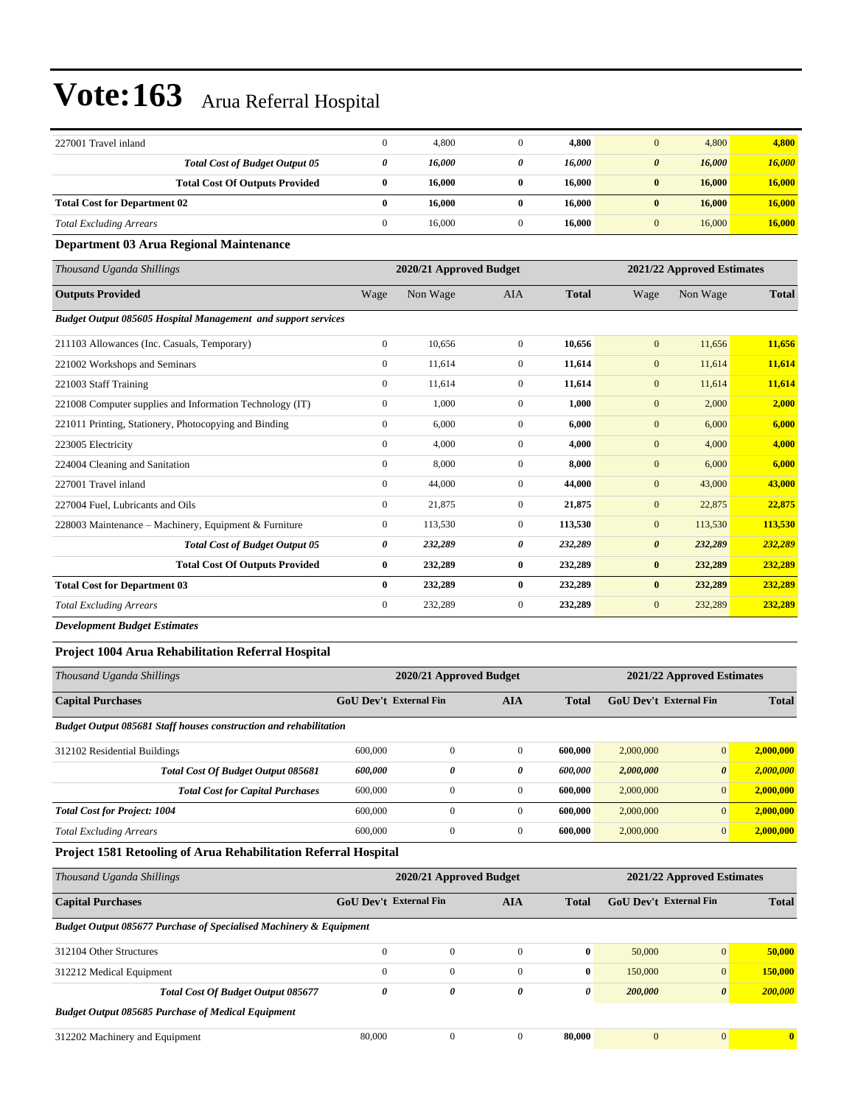| 227001 Travel inland                                          | $\mathbf{0}$          | 4,800                   | $\mathbf{0}$   | 4,800        | $\mathbf{0}$          | 4,800                      | 4,800        |
|---------------------------------------------------------------|-----------------------|-------------------------|----------------|--------------|-----------------------|----------------------------|--------------|
| <b>Total Cost of Budget Output 05</b>                         | 0                     | 16,000                  | 0              | 16,000       | $\boldsymbol{\theta}$ | 16,000                     | 16,000       |
| <b>Total Cost Of Outputs Provided</b>                         | $\bf{0}$              | 16,000                  | $\bf{0}$       | 16,000       | $\bf{0}$              | 16,000                     | 16,000       |
| <b>Total Cost for Department 02</b>                           | $\bf{0}$              | 16,000                  | $\bf{0}$       | 16,000       | $\bf{0}$              | 16,000                     | 16,000       |
| <b>Total Excluding Arrears</b>                                | $\mathbf{0}$          | 16,000                  | $\mathbf{0}$   | 16,000       | $\mathbf{0}$          | 16,000                     | 16,000       |
| Department 03 Arua Regional Maintenance                       |                       |                         |                |              |                       |                            |              |
| Thousand Uganda Shillings                                     |                       | 2020/21 Approved Budget |                |              |                       | 2021/22 Approved Estimates |              |
| <b>Outputs Provided</b>                                       | Wage                  | Non Wage                | <b>AIA</b>     | <b>Total</b> | Wage                  | Non Wage                   | <b>Total</b> |
| Budget Output 085605 Hospital Management and support services |                       |                         |                |              |                       |                            |              |
| 211103 Allowances (Inc. Casuals, Temporary)                   | $\boldsymbol{0}$      | 10,656                  | $\overline{0}$ | 10,656       | $\mathbf{0}$          | 11,656                     | 11,656       |
| 221002 Workshops and Seminars                                 | $\mathbf{0}$          | 11,614                  | $\overline{0}$ | 11,614       | $\mathbf{0}$          | 11,614                     | 11,614       |
| 221003 Staff Training                                         | $\mathbf{0}$          | 11,614                  | $\overline{0}$ | 11,614       | $\mathbf{0}$          | 11,614                     | 11,614       |
| 221008 Computer supplies and Information Technology (IT)      | $\boldsymbol{0}$      | 1,000                   | $\mathbf{0}$   | 1,000        | $\mathbf{0}$          | 2,000                      | 2,000        |
| 221011 Printing, Stationery, Photocopying and Binding         | $\mathbf{0}$          | 6,000                   | $\overline{0}$ | 6.000        | $\mathbf{0}$          | 6,000                      | 6,000        |
| 223005 Electricity                                            | $\mathbf{0}$          | 4.000                   | $\overline{0}$ | 4,000        | $\mathbf{0}$          | 4,000                      | 4,000        |
| 224004 Cleaning and Sanitation                                | $\mathbf{0}$          | 8,000                   | $\overline{0}$ | 8,000        | $\mathbf{0}$          | 6,000                      | 6,000        |
| 227001 Travel inland                                          | $\mathbf{0}$          | 44,000                  | $\overline{0}$ | 44,000       | $\mathbf{0}$          | 43,000                     | 43,000       |
| 227004 Fuel, Lubricants and Oils                              | $\mathbf{0}$          | 21,875                  | $\overline{0}$ | 21,875       | $\mathbf{0}$          | 22,875                     | 22,875       |
| 228003 Maintenance - Machinery, Equipment & Furniture         | $\mathbf{0}$          | 113,530                 | $\overline{0}$ | 113,530      | $\mathbf{0}$          | 113,530                    | 113,530      |
| <b>Total Cost of Budget Output 05</b>                         | $\boldsymbol{\theta}$ | 232,289                 | 0              | 232,289      | $\boldsymbol{\theta}$ | 232,289                    | 232,289      |
| <b>Total Cost Of Outputs Provided</b>                         | $\bf{0}$              | 232,289                 | $\bf{0}$       | 232,289      | $\bf{0}$              | 232,289                    | 232,289      |
| <b>Total Cost for Department 03</b>                           | $\bf{0}$              | 232,289                 | $\bf{0}$       | 232,289      | $\bf{0}$              | 232,289                    | 232,289      |
| <b>Total Excluding Arrears</b>                                | $\mathbf{0}$          | 232,289                 | $\mathbf{0}$   | 232,289      | $\mathbf{0}$          | 232,289                    | 232,289      |
|                                                               |                       |                         |                |              |                       |                            |              |

*Development Budget Estimates*

#### **Project 1004 Arua Rehabilitation Referral Hospital**

| Thousand Uganda Shillings                                                | 2021/22 Approved Estimates<br>2020/21 Approved Budget |          |                |              |                               |                       |              |
|--------------------------------------------------------------------------|-------------------------------------------------------|----------|----------------|--------------|-------------------------------|-----------------------|--------------|
| <b>Capital Purchases</b>                                                 | <b>GoU Dev't External Fin</b>                         |          | <b>AIA</b>     | <b>Total</b> | <b>GoU</b> Dev't External Fin |                       | <b>Total</b> |
| <b>Budget Output 085681 Staff houses construction and rehabilitation</b> |                                                       |          |                |              |                               |                       |              |
| 312102 Residential Buildings                                             | 600,000                                               | $\Omega$ | $\overline{0}$ | 600.000      | 2,000,000                     | $\overline{0}$        | 2,000,000    |
| Total Cost Of Budget Output 085681                                       | 600,000                                               | 0        | 0              | 600,000      | 2,000,000                     | $\boldsymbol{\theta}$ | 2,000,000    |
| <b>Total Cost for Capital Purchases</b>                                  | 600,000                                               | 0        | $\overline{0}$ | 600.000      | 2,000,000                     | $\overline{0}$        | 2,000,000    |
| <b>Total Cost for Project: 1004</b>                                      | 600,000                                               | 0        | $\mathbf{0}$   | 600,000      | 2,000,000                     | $\vert 0 \vert$       | 2,000,000    |
| <b>Total Excluding Arrears</b>                                           | 600,000                                               | 0        | $\overline{0}$ | 600.000      | 2,000,000                     | $\overline{0}$        | 2,000,000    |
| <b>Project 1581 Retooling of Arua Rehabilitation Referral Hospital</b>   |                                                       |          |                |              |                               |                       |              |

| Thousand Uganda Shillings                                                     |                                             | 2020/21 Approved Budget |          |              | 2021/22 Approved Estimates    |                       |              |  |
|-------------------------------------------------------------------------------|---------------------------------------------|-------------------------|----------|--------------|-------------------------------|-----------------------|--------------|--|
| <b>Capital Purchases</b>                                                      | <b>GoU Dev't External Fin</b><br><b>AIA</b> |                         |          | <b>Total</b> | <b>GoU</b> Dev't External Fin | <b>Total</b>          |              |  |
| <b>Budget Output 085677 Purchase of Specialised Machinery &amp; Equipment</b> |                                             |                         |          |              |                               |                       |              |  |
| 312104 Other Structures                                                       | $\Omega$                                    | $\mathbf{0}$            | $\Omega$ | $\mathbf{0}$ | 50,000                        | $\overline{0}$        | 50,000       |  |
| 312212 Medical Equipment                                                      | $\mathbf{0}$                                | $\Omega$                | $\Omega$ | $\bf{0}$     | 150,000                       | $\overline{0}$        | 150,000      |  |
| Total Cost Of Budget Output 085677                                            | 0                                           | 0                       | 0        | 0            | 200,000                       | $\boldsymbol{\theta}$ | 200,000      |  |
| <b>Budget Output 085685 Purchase of Medical Equipment</b>                     |                                             |                         |          |              |                               |                       |              |  |
| 312202 Machinery and Equipment                                                | 80,000                                      | $\mathbf{0}$            | $\Omega$ | 80.000       | $\mathbf{0}$                  | $\overline{0}$        | $\mathbf{0}$ |  |